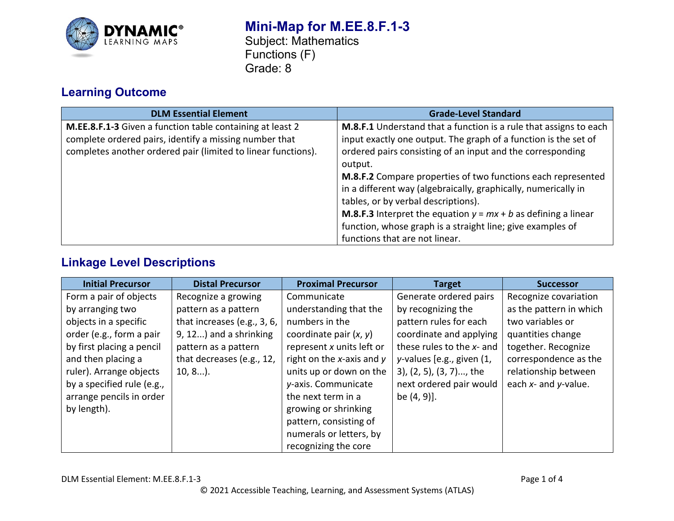

## **Mini-Map for M.EE.8.F.1-3** Subject: Mathematics Functions (F) Grade: 8

# **Learning Outcome**

| <b>DLM Essential Element</b>                                  | <b>Grade-Level Standard</b>                                             |
|---------------------------------------------------------------|-------------------------------------------------------------------------|
| M.EE.8.F.1-3 Given a function table containing at least 2     | M.8.F.1 Understand that a function is a rule that assigns to each       |
| complete ordered pairs, identify a missing number that        | input exactly one output. The graph of a function is the set of         |
| completes another ordered pair (limited to linear functions). | ordered pairs consisting of an input and the corresponding              |
|                                                               | output.                                                                 |
|                                                               | M.8.F.2 Compare properties of two functions each represented            |
|                                                               | in a different way (algebraically, graphically, numerically in          |
|                                                               | tables, or by verbal descriptions).                                     |
|                                                               | <b>M.8.F.3</b> Interpret the equation $y = mx + b$ as defining a linear |
|                                                               | function, whose graph is a straight line; give examples of              |
|                                                               | functions that are not linear.                                          |

# **Linkage Level Descriptions**

| <b>Initial Precursor</b>   | <b>Distal Precursor</b>     | <b>Proximal Precursor</b> | <b>Target</b>             | <b>Successor</b>        |
|----------------------------|-----------------------------|---------------------------|---------------------------|-------------------------|
| Form a pair of objects     | Recognize a growing         | Communicate               | Generate ordered pairs    | Recognize covariation   |
| by arranging two           | pattern as a pattern        | understanding that the    | by recognizing the        | as the pattern in which |
| objects in a specific      | that increases (e.g., 3, 6, | numbers in the            | pattern rules for each    | two variables or        |
| order (e.g., form a pair   | 9, 12) and a shrinking      | coordinate pair $(x, y)$  | coordinate and applying   | quantities change       |
| by first placing a pencil  | pattern as a pattern        | represent x units left or | these rules to the x- and | together. Recognize     |
| and then placing a         | that decreases (e.g., 12,   | right on the x-axis and y | y-values [e.g., given (1, | correspondence as the   |
| ruler). Arrange objects    | $10, 8$ ).                  | units up or down on the   | 3), (2, 5), (3, 7), the   | relationship between    |
| by a specified rule (e.g., |                             | y-axis. Communicate       | next ordered pair would   | each x- and y-value.    |
| arrange pencils in order   |                             | the next term in a        | be (4, 9)].               |                         |
| by length).                |                             | growing or shrinking      |                           |                         |
|                            |                             | pattern, consisting of    |                           |                         |
|                            |                             | numerals or letters, by   |                           |                         |
|                            |                             | recognizing the core      |                           |                         |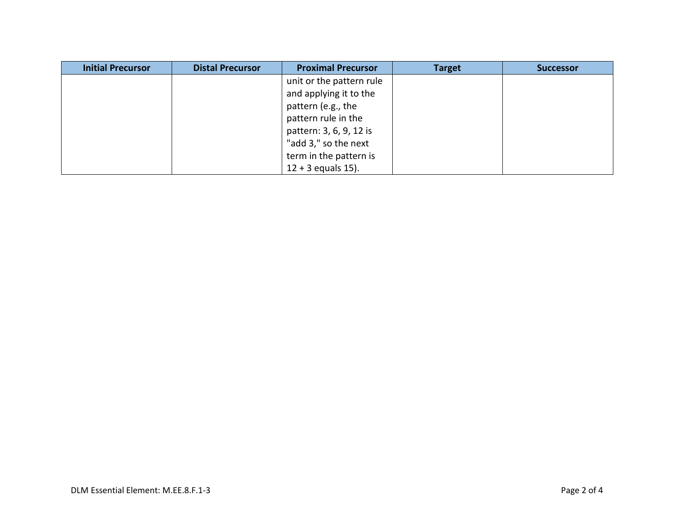| <b>Initial Precursor</b> | <b>Distal Precursor</b> | <b>Proximal Precursor</b> | <b>Target</b> | <b>Successor</b> |
|--------------------------|-------------------------|---------------------------|---------------|------------------|
|                          |                         | unit or the pattern rule  |               |                  |
|                          |                         | and applying it to the    |               |                  |
|                          |                         | pattern (e.g., the        |               |                  |
|                          |                         | pattern rule in the       |               |                  |
|                          |                         | pattern: 3, 6, 9, 12 is   |               |                  |
|                          |                         | "add 3," so the next      |               |                  |
|                          |                         | term in the pattern is    |               |                  |
|                          |                         | $12 + 3$ equals $15$ ).   |               |                  |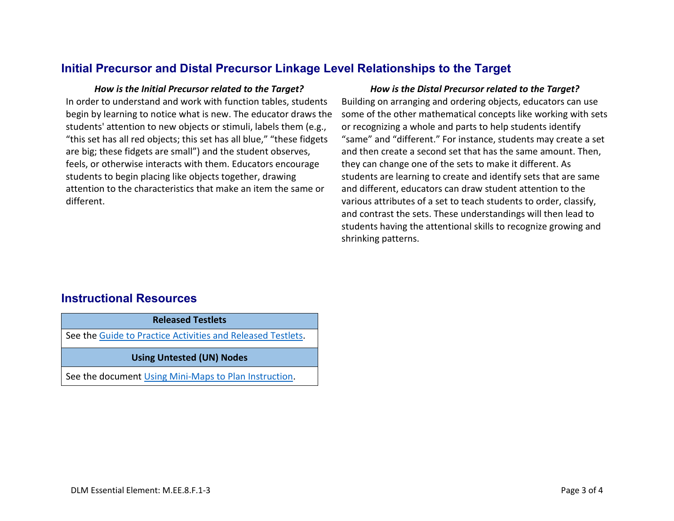### **Initial Precursor and Distal Precursor Linkage Level Relationships to the Target**

In order to understand and work with function tables, students begin by learning to notice what is new. The educator draws the students' attention to new objects or stimuli, labels them (e.g., "this set has all red objects; this set has all blue," "these fidgets are big; these fidgets are small") and the student observes, feels, or otherwise interacts with them. Educators encourage students to begin placing like objects together, drawing attention to the characteristics that make an item the same or different.

### *How is the Initial Precursor related to the Target? How is the Distal Precursor related to the Target?*

Building on arranging and ordering objects, educators can use some of the other mathematical concepts like working with sets or recognizing a whole and parts to help students identify "same" and "different." For instance, students may create a set and then create a second set that has the same amount. Then, they can change one of the sets to make it different. As students are learning to create and identify sets that are same and different, educators can draw student attention to the various attributes of a set to teach students to order, classify, and contrast the sets. These understandings will then lead to students having the attentional skills to recognize growing and shrinking patterns.

### **Instructional Resources**